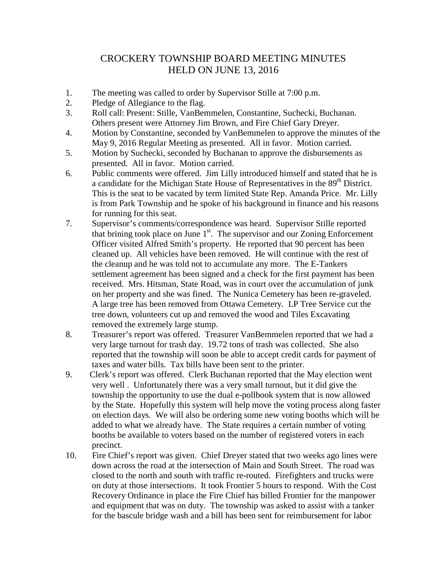## CROCKERY TOWNSHIP BOARD MEETING MINUTES HELD ON JUNE 13, 2016

- 1. The meeting was called to order by Supervisor Stille at 7:00 p.m.
- 2. Pledge of Allegiance to the flag.
- 3. Roll call: Present: Stille, VanBemmelen, Constantine, Suchecki, Buchanan. Others present were Attorney Jim Brown, and Fire Chief Gary Dreyer.
- 4. Motion by Constantine, seconded by VanBemmelen to approve the minutes of the May 9, 2016 Regular Meeting as presented. All in favor. Motion carried.
- 5. Motion by Suchecki, seconded by Buchanan to approve the disbursements as presented. All in favor. Motion carried.
- 6. Public comments were offered. Jim Lilly introduced himself and stated that he is a candidate for the Michigan State House of Representatives in the 89<sup>th</sup> District. This is the seat to be vacated by term limited State Rep. Amanda Price. Mr. Lilly is from Park Township and he spoke of his background in finance and his reasons for running for this seat.
- 7. Supervisor's comments/correspondence was heard. Supervisor Stille reported that brining took place on June  $1<sup>st</sup>$ . The supervisor and our Zoning Enforcement Officer visited Alfred Smith's property. He reported that 90 percent has been cleaned up. All vehicles have been removed. He will continue with the rest of the cleanup and he was told not to accumulate any more. The E-Tankers settlement agreement has been signed and a check for the first payment has been received. Mrs. Hitsman, State Road, was in court over the accumulation of junk on her property and she was fined. The Nunica Cemetery has been re-graveled. A large tree has been removed from Ottawa Cemetery. LP Tree Service cut the tree down, volunteers cut up and removed the wood and Tiles Excavating removed the extremely large stump.
- 8. Treasurer's report was offered. Treasurer VanBemmelen reported that we had a very large turnout for trash day. 19.72 tons of trash was collected. She also reported that the township will soon be able to accept credit cards for payment of taxes and water bills. Tax bills have been sent to the printer.
- 9. Clerk's report was offered. Clerk Buchanan reported that the May election went very well . Unfortunately there was a very small turnout, but it did give the township the opportunity to use the dual e-pollbook system that is now allowed by the State. Hopefully this system will help move the voting process along faster on election days. We will also be ordering some new voting booths which will be added to what we already have. The State requires a certain number of voting booths be available to voters based on the number of registered voters in each precinct.
- 10. Fire Chief's report was given. Chief Dreyer stated that two weeks ago lines were down across the road at the intersection of Main and South Street. The road was closed to the north and south with traffic re-routed. Firefighters and trucks were on duty at those intersections. It took Frontier 5 hours to respond. With the Cost Recovery Ordinance in place the Fire Chief has billed Frontier for the manpower and equipment that was on duty. The township was asked to assist with a tanker for the bascule bridge wash and a bill has been sent for reimbursement for labor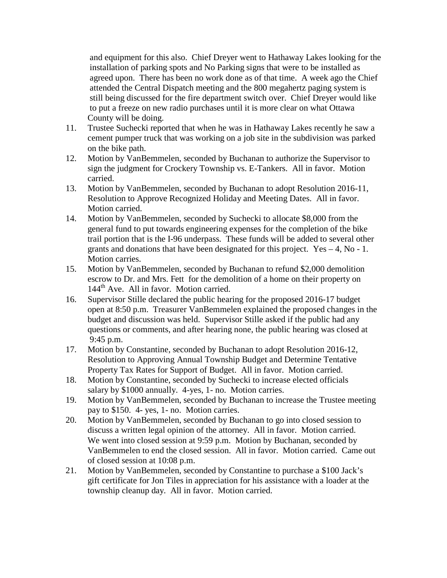and equipment for this also. Chief Dreyer went to Hathaway Lakes looking for the installation of parking spots and No Parking signs that were to be installed as agreed upon. There has been no work done as of that time. A week ago the Chief attended the Central Dispatch meeting and the 800 megahertz paging system is still being discussed for the fire department switch over. Chief Dreyer would like to put a freeze on new radio purchases until it is more clear on what Ottawa County will be doing.

- 11. Trustee Suchecki reported that when he was in Hathaway Lakes recently he saw a cement pumper truck that was working on a job site in the subdivision was parked on the bike path.
- 12. Motion by VanBemmelen, seconded by Buchanan to authorize the Supervisor to sign the judgment for Crockery Township vs. E-Tankers. All in favor. Motion carried.
- 13. Motion by VanBemmelen, seconded by Buchanan to adopt Resolution 2016-11, Resolution to Approve Recognized Holiday and Meeting Dates. All in favor. Motion carried.
- 14. Motion by VanBemmelen, seconded by Suchecki to allocate \$8,000 from the general fund to put towards engineering expenses for the completion of the bike trail portion that is the I-96 underpass. These funds will be added to several other grants and donations that have been designated for this project. Yes – 4, No - 1. Motion carries.
- 15. Motion by VanBemmelen, seconded by Buchanan to refund \$2,000 demolition escrow to Dr. and Mrs. Fett for the demolition of a home on their property on 144<sup>th</sup> Ave. All in favor. Motion carried.
- 16. Supervisor Stille declared the public hearing for the proposed 2016-17 budget open at 8:50 p.m. Treasurer VanBemmelen explained the proposed changes in the budget and discussion was held. Supervisor Stille asked if the public had any questions or comments, and after hearing none, the public hearing was closed at 9:45 p.m.
- 17. Motion by Constantine, seconded by Buchanan to adopt Resolution 2016-12, Resolution to Approving Annual Township Budget and Determine Tentative Property Tax Rates for Support of Budget. All in favor. Motion carried.
- 18. Motion by Constantine, seconded by Suchecki to increase elected officials salary by \$1000 annually. 4-yes, 1- no. Motion carries.
- 19. Motion by VanBemmelen, seconded by Buchanan to increase the Trustee meeting pay to \$150. 4- yes, 1- no. Motion carries.
- 20. Motion by VanBemmelen, seconded by Buchanan to go into closed session to discuss a written legal opinion of the attorney. All in favor. Motion carried. We went into closed session at 9:59 p.m. Motion by Buchanan, seconded by VanBemmelen to end the closed session. All in favor. Motion carried. Came out of closed session at 10:08 p.m.
- 21. Motion by VanBemmelen, seconded by Constantine to purchase a \$100 Jack's gift certificate for Jon Tiles in appreciation for his assistance with a loader at the township cleanup day. All in favor. Motion carried.